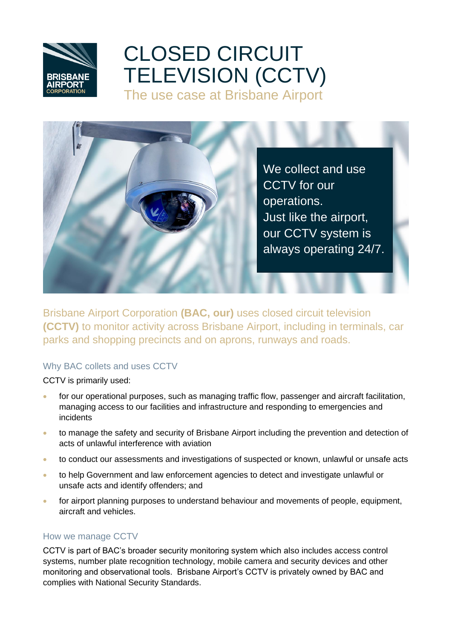# CLOSED CIRCUIT TELEVISION (CCTV) The use case at Brisbane Airport

We collect and use CCTV for our operations. Just like the airport, our CCTV system is always operating 24/7.

Brisbane Airport Corporation **(BAC, our)** uses closed circuit television **(CCTV)** to monitor activity across Brisbane Airport, including in terminals, car parks and shopping precincts and on aprons, runways and roads.

### Why BAC collets and uses CCTV

CCTV is primarily used:

- for our operational purposes, such as managing traffic flow, passenger and aircraft facilitation, managing access to our facilities and infrastructure and responding to emergencies and incidents
- to manage the safety and security of Brisbane Airport including the prevention and detection of acts of unlawful interference with aviation
- to conduct our assessments and investigations of suspected or known, unlawful or unsafe acts
- to help Government and law enforcement agencies to detect and investigate unlawful or unsafe acts and identify offenders; and
- for airport planning purposes to understand behaviour and movements of people, equipment, aircraft and vehicles.

#### How we manage CCTV

CCTV is part of BAC's broader security monitoring system which also includes access control systems, number plate recognition technology, mobile camera and security devices and other monitoring and observational tools. Brisbane Airport's CCTV is privately owned by BAC and complies with National Security Standards.